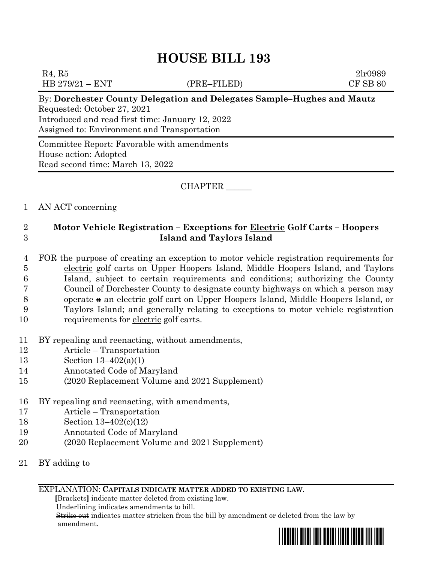# **HOUSE BILL 193**

 $R_4, R_5$  2lr0989 HB 279/21 – ENT (PRE–FILED) CF SB 80 By: **Dorchester County Delegation and Delegates Sample–Hughes and Mautz**

Requested: October 27, 2021 Introduced and read first time: January 12, 2022 Assigned to: Environment and Transportation

Committee Report: Favorable with amendments House action: Adopted Read second time: March 13, 2022

CHAPTER \_\_\_\_\_\_

## 1 AN ACT concerning

## 2 **Motor Vehicle Registration – Exceptions for Electric Golf Carts – Hoopers**  3 **Island and Taylors Island**

- 4 FOR the purpose of creating an exception to motor vehicle registration requirements for 5 electric golf carts on Upper Hoopers Island, Middle Hoopers Island, and Taylors 6 Island, subject to certain requirements and conditions; authorizing the County 7 Council of Dorchester County to designate county highways on which a person may 8 operate a an electric golf cart on Upper Hoopers Island, Middle Hoopers Island, or 9 Taylors Island; and generally relating to exceptions to motor vehicle registration 10 requirements for electric golf carts.
- 11 BY repealing and reenacting, without amendments,
- 12 Article Transportation
- 13 Section 13–402(a)(1)
- 14 Annotated Code of Maryland
- 15 (2020 Replacement Volume and 2021 Supplement)
- 16 BY repealing and reenacting, with amendments,
- 17 Article Transportation
- 18 Section 13–402(c)(12)
- 19 Annotated Code of Maryland
- 20 (2020 Replacement Volume and 2021 Supplement)
- 21 BY adding to

### EXPLANATION: **CAPITALS INDICATE MATTER ADDED TO EXISTING LAW**.

 **[**Brackets**]** indicate matter deleted from existing law.

Underlining indicates amendments to bill.

 Strike out indicates matter stricken from the bill by amendment or deleted from the law by amendment.

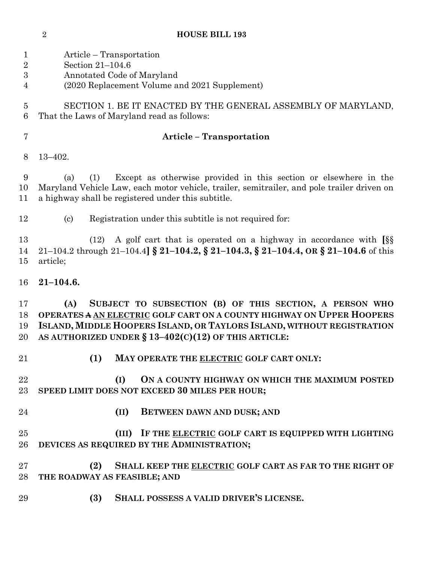**HOUSE BILL 193**

| $\mathbf{1}$<br>$\overline{2}$<br>3<br>4 | Article – Transportation<br>Section $21-104.6$<br>Annotated Code of Maryland<br>(2020 Replacement Volume and 2021 Supplement)                                                                                                                                                |
|------------------------------------------|------------------------------------------------------------------------------------------------------------------------------------------------------------------------------------------------------------------------------------------------------------------------------|
| $\overline{5}$<br>6                      | SECTION 1. BE IT ENACTED BY THE GENERAL ASSEMBLY OF MARYLAND,<br>That the Laws of Maryland read as follows:                                                                                                                                                                  |
| $\overline{7}$                           | <b>Article - Transportation</b>                                                                                                                                                                                                                                              |
| 8                                        | $13 - 402.$                                                                                                                                                                                                                                                                  |
| 9<br>10<br>11                            | Except as otherwise provided in this section or elsewhere in the<br>(a)<br>(1)<br>Maryland Vehicle Law, each motor vehicle, trailer, semitrailer, and pole trailer driven on<br>a highway shall be registered under this subtitle.                                           |
| 12                                       | Registration under this subtitle is not required for:<br>$\left( \text{c}\right)$                                                                                                                                                                                            |
| 13<br>14<br>15                           | A golf cart that is operated on a highway in accordance with [§§]<br>(12)<br>21-104.2 through 21-104.4] § 21-104.2, § 21-104.3, § 21-104.4, OR § 21-104.6 of this<br>article;                                                                                                |
| 16                                       | $21 - 104.6.$                                                                                                                                                                                                                                                                |
| 17<br>18<br>19<br>20                     | SUBJECT TO SUBSECTION (B) OF THIS SECTION, A PERSON WHO<br>(A)<br>OPERATES A AN ELECTRIC GOLF CART ON A COUNTY HIGHWAY ON UPPER HOOPERS<br>ISLAND, MIDDLE HOOPERS ISLAND, OR TAYLORS ISLAND, WITHOUT REGISTRATION<br>AS AUTHORIZED UNDER $\S 13-402(C)(12)$ OF THIS ARTICLE: |
| 21                                       | (1)<br>MAY OPERATE THE ELECTRIC GOLF CART ONLY:                                                                                                                                                                                                                              |
| 22<br>23                                 | ON A COUNTY HIGHWAY ON WHICH THE MAXIMUM POSTED<br>(I)<br>SPEED LIMIT DOES NOT EXCEED 30 MILES PER HOUR;                                                                                                                                                                     |
| 24                                       | <b>BETWEEN DAWN AND DUSK; AND</b><br>(II)                                                                                                                                                                                                                                    |
| 25<br>26                                 | (III) IF THE ELECTRIC GOLF CART IS EQUIPPED WITH LIGHTING<br>DEVICES AS REQUIRED BY THE ADMINISTRATION;                                                                                                                                                                      |
| 27<br>28                                 | SHALL KEEP THE ELECTRIC GOLF CART AS FAR TO THE RIGHT OF<br>(2)<br>THE ROADWAY AS FEASIBLE; AND                                                                                                                                                                              |
| 29                                       | SHALL POSSESS A VALID DRIVER'S LICENSE.<br>(3)                                                                                                                                                                                                                               |